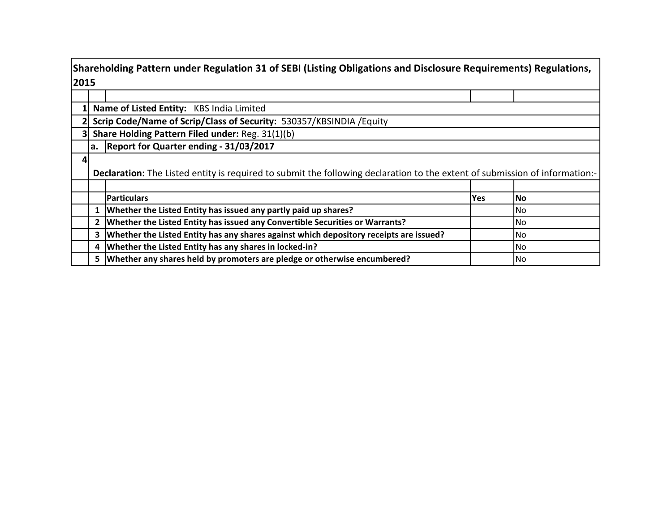|      | Shareholding Pattern under Regulation 31 of SEBI (Listing Obligations and Disclosure Requirements) Regulations, |                                                                                                                             |            |      |  |  |  |  |  |  |  |  |  |  |
|------|-----------------------------------------------------------------------------------------------------------------|-----------------------------------------------------------------------------------------------------------------------------|------------|------|--|--|--|--|--|--|--|--|--|--|
| 2015 |                                                                                                                 |                                                                                                                             |            |      |  |  |  |  |  |  |  |  |  |  |
|      |                                                                                                                 |                                                                                                                             |            |      |  |  |  |  |  |  |  |  |  |  |
|      |                                                                                                                 | Name of Listed Entity: KBS India Limited                                                                                    |            |      |  |  |  |  |  |  |  |  |  |  |
|      | Scrip Code/Name of Scrip/Class of Security: 530357/KBSINDIA / Equity                                            |                                                                                                                             |            |      |  |  |  |  |  |  |  |  |  |  |
|      |                                                                                                                 | Share Holding Pattern Filed under: Reg. 31(1)(b)                                                                            |            |      |  |  |  |  |  |  |  |  |  |  |
|      |                                                                                                                 | a. Report for Quarter ending - 31/03/2017                                                                                   |            |      |  |  |  |  |  |  |  |  |  |  |
|      |                                                                                                                 |                                                                                                                             |            |      |  |  |  |  |  |  |  |  |  |  |
|      |                                                                                                                 | Declaration: The Listed entity is required to submit the following declaration to the extent of submission of information:- |            |      |  |  |  |  |  |  |  |  |  |  |
|      |                                                                                                                 |                                                                                                                             |            |      |  |  |  |  |  |  |  |  |  |  |
|      |                                                                                                                 | <b>Particulars</b>                                                                                                          | <b>Yes</b> | l No |  |  |  |  |  |  |  |  |  |  |
|      |                                                                                                                 | Whether the Listed Entity has issued any partly paid up shares?                                                             |            | No.  |  |  |  |  |  |  |  |  |  |  |
|      |                                                                                                                 | Whether the Listed Entity has issued any Convertible Securities or Warrants?                                                |            | No.  |  |  |  |  |  |  |  |  |  |  |
|      | 3                                                                                                               | Whether the Listed Entity has any shares against which depository receipts are issued?                                      |            | No   |  |  |  |  |  |  |  |  |  |  |
|      | 4                                                                                                               | Whether the Listed Entity has any shares in locked-in?                                                                      |            | No.  |  |  |  |  |  |  |  |  |  |  |
|      |                                                                                                                 | 5   Whether any shares held by promoters are pledge or otherwise encumbered?                                                |            | No.  |  |  |  |  |  |  |  |  |  |  |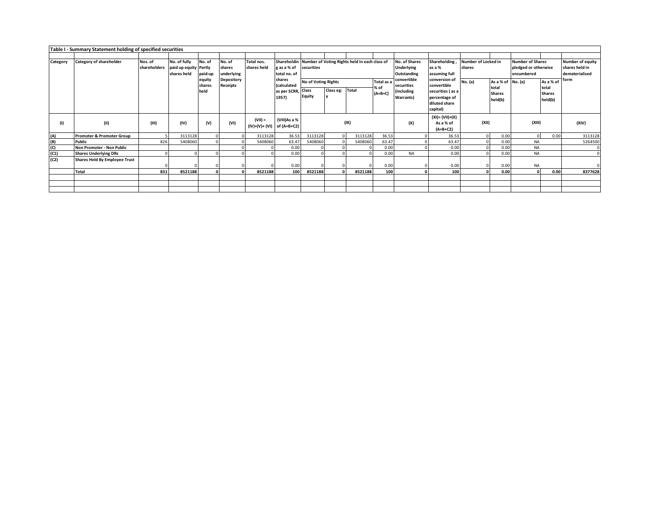|                                                                       | Table I - Summary Statement holding of specified securities |                         |                                                      |                          |                                |                                            |                                                      |                                                             |           |         |                                            |                                                             |                                                                                                |         |                                                               |           |                                                      |         |
|-----------------------------------------------------------------------|-------------------------------------------------------------|-------------------------|------------------------------------------------------|--------------------------|--------------------------------|--------------------------------------------|------------------------------------------------------|-------------------------------------------------------------|-----------|---------|--------------------------------------------|-------------------------------------------------------------|------------------------------------------------------------------------------------------------|---------|---------------------------------------------------------------|-----------|------------------------------------------------------|---------|
|                                                                       |                                                             |                         |                                                      |                          |                                |                                            |                                                      |                                                             |           |         |                                            |                                                             |                                                                                                |         |                                                               |           |                                                      |         |
| Category                                                              | Category of shareholder                                     | Nos. of<br>shareholders | No. of fully<br>paid up equity Partly<br>shares held | No. of<br>paid-up        | No. of<br>shares<br>underlying | Total nos.<br>shares held                  | Shareholdin<br>g as a % of<br>total no. of           | Number of Voting Rights held in each class of<br>securities |           |         | No. of Shares<br>Underlying<br>Outstanding | Shareholding,<br>as a %<br>assuming full                    | Number of Locked in<br>shares                                                                  |         | <b>Number of Shares</b><br>pledged or otherwise<br>encumbered |           | Number of equity<br>shares held in<br>dematerialised |         |
|                                                                       |                                                             |                         |                                                      | equity<br>shares<br>held | <b>Depository</b><br>Receipts  |                                            | shares<br>(calculated<br>as per SCRR, Class<br>1957) | No of Voting Rights<br>Equity                               | Class eg: | Total   | Total as a<br>% of<br>$(A+B+C)$            | convertible<br>securities<br>(including<br><b>Warrants)</b> | conversion of<br>convertible<br>securities (as a<br>percentage of<br>diluted share<br>capital) | No. (a) | As a % of No. (a)<br>total<br><b>Shares</b><br>held(b)        |           | As a % of<br>total<br><b>Shares</b><br>held(b)       | form    |
| (1)                                                                   | (II)                                                        | (III)                   | (IV)                                                 | (V)                      | (VI)                           | $(VII) =$<br>$(IV)+(V)+(VI)$ of $(A+B+C2)$ | (VIII)As a %                                         |                                                             |           | (IX)    |                                            | (X)                                                         | $(XI) = (VII)+(X)$<br>As a % of<br>$(A+B+C2)$                                                  | (XII)   |                                                               | (XIII)    |                                                      | (XIV)   |
| $\begin{array}{c} \text{(A)} \\ \text{(B)} \\ \text{(C)} \end{array}$ | <b>Promoter &amp; Promoter Group</b>                        |                         | 3113128                                              |                          |                                | 3113128                                    | 36.53                                                | 3113128                                                     |           | 3113128 | 36.53                                      |                                                             | 36.53                                                                                          |         | 0.00                                                          |           | 0.00                                                 | 3113128 |
|                                                                       | Public                                                      | 826                     | 5408060                                              |                          |                                | 5408060                                    | 63.47                                                | 5408060                                                     |           | 5408060 | 63.47                                      |                                                             | 63.47                                                                                          |         | 0.00                                                          | <b>NA</b> |                                                      | 5264500 |
|                                                                       | Non Promoter - Non Public                                   |                         |                                                      |                          |                                |                                            | 0.00                                                 |                                                             |           |         | 0.00                                       |                                                             | 0.00                                                                                           |         | 0.00                                                          | <b>NA</b> |                                                      |         |
| (C1)                                                                  | <b>Shares Underlying DRs</b>                                |                         |                                                      |                          |                                |                                            | 0.00                                                 |                                                             |           |         | 0.00                                       | <b>NA</b>                                                   | 0.00                                                                                           |         | 0.00                                                          | <b>NA</b> |                                                      |         |
| (C2)                                                                  | <b>Shares Held By Employee Trust</b>                        |                         |                                                      |                          |                                |                                            | 0.00                                                 |                                                             |           |         | 0.00                                       |                                                             | 0.00                                                                                           |         | 0.00                                                          | <b>NA</b> |                                                      |         |
|                                                                       | Total                                                       | 831                     | 8521188                                              |                          |                                | 8521188                                    | 100                                                  | 8521188                                                     |           | 8521188 | 100                                        |                                                             | 100                                                                                            |         | 0.00                                                          | $\Omega$  | 0.00                                                 | 8377628 |
|                                                                       |                                                             |                         |                                                      |                          |                                |                                            |                                                      |                                                             |           |         |                                            |                                                             |                                                                                                |         |                                                               |           |                                                      |         |
|                                                                       |                                                             |                         |                                                      |                          |                                |                                            |                                                      |                                                             |           |         |                                            |                                                             |                                                                                                |         |                                                               |           |                                                      |         |
|                                                                       |                                                             |                         |                                                      |                          |                                |                                            |                                                      |                                                             |           |         |                                            |                                                             |                                                                                                |         |                                                               |           |                                                      |         |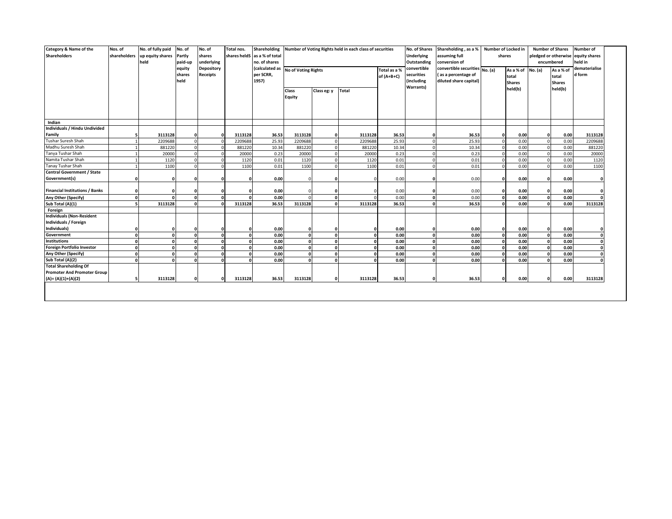| Category & Name of the<br><b>Shareholders</b>                                    | Nos. of<br>shareholders | No. of fully paid<br>up equity shares<br>held | No. of<br>Partly<br>paid-up<br>equity<br>shares<br>held | No. of<br>shares<br>underlying<br><b>Depository</b><br><b>Receipts</b> | Total nos.   | Shareholding<br>shares heldS as a % of total<br>no. of shares<br>(calculated as<br>per SCRR,<br>1957) | <b>No of Voting Rights</b><br>Class<br><b>Equity</b> | Class eg: y  | Number of Voting Rights held in each class of securities<br><b>Total</b> | Total as a %<br>$of (A+B+C)$ | No. of Shares<br><b>Underlying</b><br>Outstanding<br>convertible<br>securities<br>(including<br><b>Warrants)</b> | Shareholding, as a %<br>assuming full<br>conversion of<br>convertible securities No. (a)<br>(as a percentage of<br>diluted share capital) | Number of Locked in<br>shares<br>As a % of No. (a)<br>total<br><b>Shares</b><br>held(b) |      |              | <b>Number of Shares</b><br>encumbered<br>As a % of<br>total<br><b>Shares</b><br>held(b) | <b>Number of</b><br>pledged or otherwise equity shares<br>held in<br>dematerialise<br>d form |
|----------------------------------------------------------------------------------|-------------------------|-----------------------------------------------|---------------------------------------------------------|------------------------------------------------------------------------|--------------|-------------------------------------------------------------------------------------------------------|------------------------------------------------------|--------------|--------------------------------------------------------------------------|------------------------------|------------------------------------------------------------------------------------------------------------------|-------------------------------------------------------------------------------------------------------------------------------------------|-----------------------------------------------------------------------------------------|------|--------------|-----------------------------------------------------------------------------------------|----------------------------------------------------------------------------------------------|
| Indian                                                                           |                         |                                               |                                                         |                                                                        |              |                                                                                                       |                                                      |              |                                                                          |                              |                                                                                                                  |                                                                                                                                           |                                                                                         |      |              |                                                                                         |                                                                                              |
| Individuals / Hindu Undivided                                                    |                         |                                               |                                                         |                                                                        |              |                                                                                                       |                                                      |              |                                                                          |                              |                                                                                                                  |                                                                                                                                           |                                                                                         |      |              |                                                                                         |                                                                                              |
| Family                                                                           |                         | 3113128                                       |                                                         | $\Omega$                                                               | 3113128      | 36.53                                                                                                 | 3113128                                              |              | 3113128                                                                  | 36.53                        | n                                                                                                                | 36.53                                                                                                                                     | $\Omega$                                                                                | 0.00 | $\Omega$     | 0.00                                                                                    | 3113128                                                                                      |
| Tushar Suresh Shah                                                               |                         | 2209688                                       | $\Omega$                                                |                                                                        | 2209688      | 25.93                                                                                                 | 2209688                                              | $\Omega$     | 2209688                                                                  | 25.93                        | $\Omega$                                                                                                         | 25.93                                                                                                                                     | $\Omega$                                                                                | 0.00 | $\mathbf 0$  | 0.00                                                                                    | 2209688                                                                                      |
| Madhu Suresh Shah                                                                |                         | 881220                                        |                                                         |                                                                        | 881220       | 10.34                                                                                                 | 881220                                               | n            | 881220                                                                   | 10.34                        | $\Omega$                                                                                                         | 10.34                                                                                                                                     | $\Omega$                                                                                | 0.00 | $\mathbf 0$  | 0.00                                                                                    | 881220                                                                                       |
| Tanya Tushar Shah                                                                |                         | 20000                                         |                                                         |                                                                        | 20000        | 0.23                                                                                                  | 20000                                                | $\Omega$     | 20000                                                                    | 0.23                         | $\Omega$                                                                                                         | 0.23                                                                                                                                      | C                                                                                       | 0.00 | $\mathbf 0$  | 0.00                                                                                    | 20000                                                                                        |
| Namita Tushar Shah                                                               |                         | 1120                                          |                                                         |                                                                        | 1120         | 0.01                                                                                                  | 1120                                                 | $\Omega$     | 1120                                                                     | 0.01                         | $\Omega$                                                                                                         | 0.01                                                                                                                                      | $\Omega$                                                                                | 0.00 | $\mathbf{0}$ | 0.00                                                                                    | 1120                                                                                         |
| <b>Tanay Tushar Shah</b>                                                         |                         | 1100                                          |                                                         |                                                                        | 1100         | 0.01                                                                                                  | 1100                                                 | $\Omega$     | 1100                                                                     | 0.01                         | $\Omega$                                                                                                         | 0.01                                                                                                                                      | $\Omega$                                                                                | 0.00 | $\Omega$     | 0.00                                                                                    | 1100                                                                                         |
| <b>Central Government / State</b><br>Government(s)                               |                         |                                               |                                                         | $\Omega$                                                               |              | 0.00                                                                                                  |                                                      |              |                                                                          | 0.00                         | n                                                                                                                | 0.00                                                                                                                                      | O                                                                                       | 0.00 | $\Omega$     | 0.00                                                                                    |                                                                                              |
| <b>Financial Institutions / Banks</b>                                            |                         | $\Omega$                                      |                                                         | $\mathbf{r}$                                                           |              | 0.00                                                                                                  |                                                      |              |                                                                          | 0.00                         |                                                                                                                  | 0.00                                                                                                                                      |                                                                                         | 0.00 | $\Omega$     | 0.00                                                                                    |                                                                                              |
| Any Other (Specify)                                                              |                         |                                               |                                                         |                                                                        |              | 0.00                                                                                                  |                                                      | $\Omega$     |                                                                          | 0.00                         | $\mathbf{r}$                                                                                                     | 0.00                                                                                                                                      |                                                                                         | 0.00 | $\Omega$     | 0.00                                                                                    |                                                                                              |
| Sub Total (A)(1)                                                                 |                         | 3113128                                       |                                                         |                                                                        | 3113128      | 36.53                                                                                                 | 3113128                                              |              | 3113128                                                                  | 36.53                        | $\mathbf{r}$                                                                                                     | 36.53                                                                                                                                     |                                                                                         | 0.00 | $\Omega$     | 0.00                                                                                    | 3113128                                                                                      |
| Foreign                                                                          |                         |                                               |                                                         |                                                                        |              |                                                                                                       |                                                      |              |                                                                          |                              |                                                                                                                  |                                                                                                                                           |                                                                                         |      |              |                                                                                         |                                                                                              |
| <b>Individuals (Non-Resident</b><br><b>Individuals / Foreign</b><br>Individuals) |                         | 0                                             |                                                         | $\Omega$                                                               |              | 0.00                                                                                                  |                                                      |              |                                                                          | 0.00                         | n                                                                                                                | 0.00                                                                                                                                      | $\Omega$                                                                                | 0.00 | 0            | 0.00                                                                                    |                                                                                              |
| Government                                                                       |                         | $\Omega$                                      |                                                         | $\Omega$                                                               | $\Omega$     | 0.00                                                                                                  | $\Omega$                                             | $\mathbf{r}$ | $\Omega$                                                                 | 0.00                         | $\Omega$                                                                                                         | 0.00                                                                                                                                      | $\sqrt{2}$                                                                              | 0.00 | $\mathbf{0}$ | 0.00                                                                                    |                                                                                              |
| <b>Institutions</b>                                                              |                         | $\mathbf{0}$                                  |                                                         | $\sqrt{ }$                                                             | $\Omega$     | 0.00                                                                                                  | $\Omega$                                             | n            | $\Omega$                                                                 | 0.00                         | <sub>0</sub>                                                                                                     | 0.00                                                                                                                                      | $\Omega$                                                                                | 0.00 | $\mathbf{0}$ | 0.00                                                                                    |                                                                                              |
| <b>Foreign Portfolio Investor</b>                                                |                         | $\mathbf{0}$                                  |                                                         |                                                                        | $\mathbf{r}$ | 0.00                                                                                                  | $\Omega$                                             | n            | $\Omega$                                                                 | 0.00                         | <b>n</b>                                                                                                         | 0.00                                                                                                                                      |                                                                                         | 0.00 | 0            | 0.00                                                                                    |                                                                                              |
| Any Other (Specify)                                                              |                         | $\Omega$                                      |                                                         |                                                                        | $\Omega$     | 0.00                                                                                                  | $\mathbf{r}$                                         | n            | $\Omega$                                                                 | 0.00                         | $\mathbf{r}$                                                                                                     | 0.00                                                                                                                                      |                                                                                         | 0.00 | $\Omega$     | 0.00                                                                                    |                                                                                              |
| Sub Total (A)(2)                                                                 |                         | $\Omega$                                      |                                                         | $\Omega$                                                               | $\mathbf{r}$ | 0.00                                                                                                  | $\mathbf{0}$                                         | $\mathbf{r}$ | $\mathbf{r}$                                                             | 0.00                         | 0                                                                                                                | 0.00                                                                                                                                      | $\Omega$                                                                                | 0.00 | $\Omega$     | 0.00                                                                                    |                                                                                              |
| <b>Total Shareholding Of</b><br><b>Promoter And Promoter Group</b>               |                         |                                               |                                                         |                                                                        |              |                                                                                                       |                                                      |              |                                                                          |                              |                                                                                                                  |                                                                                                                                           |                                                                                         |      |              |                                                                                         |                                                                                              |
| $(A)=(A)(1)+(A)(2)$                                                              |                         | 3113128                                       | n                                                       | $\Omega$                                                               | 3113128      | 36.53                                                                                                 | 3113128                                              | n            | 3113128                                                                  | 36.53                        | $\Omega$                                                                                                         | 36.53                                                                                                                                     | $\Omega$                                                                                | 0.00 | $\Omega$     | 0.00                                                                                    | 3113128                                                                                      |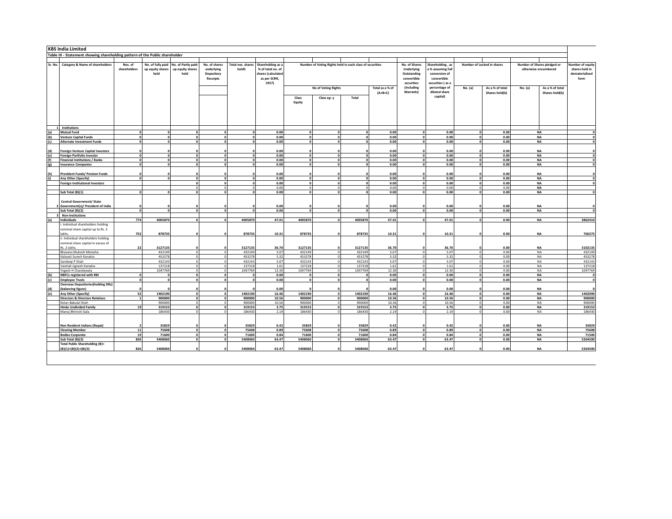|            | <b>KBS India Limited</b>                                                      |                          |                                               |                                                 |                                                       |                            |                                                                                       |                   |                                             |                                                          |                              |                         |                                                                                                                             |                        |                                   |                                                     |                                                                     |  |
|------------|-------------------------------------------------------------------------------|--------------------------|-----------------------------------------------|-------------------------------------------------|-------------------------------------------------------|----------------------------|---------------------------------------------------------------------------------------|-------------------|---------------------------------------------|----------------------------------------------------------|------------------------------|-------------------------|-----------------------------------------------------------------------------------------------------------------------------|------------------------|-----------------------------------|-----------------------------------------------------|---------------------------------------------------------------------|--|
|            | Table III - Statement showing shareholding pattern of the Public shareholder  |                          |                                               |                                                 |                                                       |                            |                                                                                       |                   |                                             |                                                          |                              |                         |                                                                                                                             |                        |                                   |                                                     |                                                                     |  |
|            |                                                                               |                          |                                               |                                                 |                                                       |                            |                                                                                       | No. of Shares     |                                             |                                                          |                              |                         |                                                                                                                             |                        |                                   |                                                     |                                                                     |  |
|            | Sr. No. Category & Name of shareholders                                       | Nos. of<br>shareholders  | No. of fully paid<br>up equity shares<br>held | No. of Partly paid-<br>up equity shares<br>held | No. of shares<br>underlying<br>Depository<br>Receipts | Total nos. shares<br>heldS | Shareholding as a<br>% of total no. of<br>shares (calculatec<br>as per SCRR,<br>1957) |                   |                                             | Number of Voting Rights held in each class of securities |                              |                         | Shareholding, as<br>a % assuming full<br>conversion of<br>convertible<br>securities (as a<br>percentage of<br>diluted share |                        | Number of Locked in shares        | Number of Shares pledged or<br>otherwise encumbered | <b>Number of equity</b><br>shares held in<br>dematerialised<br>form |  |
|            |                                                                               |                          |                                               |                                                 |                                                       |                            |                                                                                       |                   | No of Voting Rights<br>Class<br>Class eg: y |                                                          | Total as a % of<br>$(A+B+C)$ | (including<br>Warrants) |                                                                                                                             | No. (a)                | As a % of total<br>Shares held(b) | No. (a)<br>As a % of total<br>Shares held(b)        |                                                                     |  |
|            |                                                                               |                          |                                               |                                                 |                                                       |                            |                                                                                       |                   |                                             |                                                          |                              |                         | capital)                                                                                                                    |                        |                                   |                                                     |                                                                     |  |
|            |                                                                               |                          |                                               |                                                 |                                                       |                            |                                                                                       | Equity            |                                             |                                                          |                              |                         |                                                                                                                             |                        |                                   |                                                     |                                                                     |  |
|            |                                                                               |                          |                                               |                                                 |                                                       |                            |                                                                                       |                   |                                             |                                                          |                              |                         |                                                                                                                             |                        |                                   |                                                     |                                                                     |  |
|            |                                                                               |                          |                                               |                                                 |                                                       |                            |                                                                                       |                   |                                             |                                                          |                              |                         |                                                                                                                             |                        |                                   |                                                     |                                                                     |  |
|            |                                                                               |                          |                                               |                                                 |                                                       |                            |                                                                                       |                   |                                             |                                                          |                              |                         |                                                                                                                             |                        |                                   |                                                     |                                                                     |  |
|            | Institutions                                                                  |                          |                                               |                                                 |                                                       |                            |                                                                                       |                   |                                             |                                                          |                              |                         |                                                                                                                             |                        |                                   |                                                     |                                                                     |  |
| (a)<br>(b) | <b>Mutual Fund</b><br><b>Venture Capital Funds</b>                            | $\sqrt{2}$<br>$\sqrt{2}$ | $\Omega$                                      | n<br>$\Omega$                                   | $\mathbf{o}$                                          | n<br>$\sqrt{2}$            | 0.00<br>0.00                                                                          | $\sqrt{2}$        |                                             |                                                          | 0.00<br>0.00                 | $\Omega$                | 0.00<br>0.00                                                                                                                | $\sqrt{2}$<br>$\Omega$ | 0.00<br>0.00                      | <b>NA</b><br><b>NA</b>                              | $\sqrt{2}$                                                          |  |
| (c)        | <b>Alternate Investment Funds</b>                                             | $\Omega$                 | $\Omega$                                      | $\Omega$                                        | $\mathbf{o}$                                          | $\sqrt{2}$                 | 0.00                                                                                  | n                 | $\Omega$                                    |                                                          | 0.00                         | $\sqrt{2}$              | 0.00                                                                                                                        | $\mathbf{o}$           | 0.00                              | <b>NA</b>                                           | $\sqrt{2}$                                                          |  |
|            |                                                                               |                          |                                               |                                                 |                                                       |                            |                                                                                       |                   |                                             |                                                          |                              |                         |                                                                                                                             |                        |                                   |                                                     |                                                                     |  |
| (d)<br>(e) | <b>Foreign Venture Capital Investors</b><br><b>Foreign Portfolio Investor</b> |                          |                                               |                                                 |                                                       |                            | 0.00<br>0.00                                                                          |                   |                                             |                                                          | 0.00<br>0.00                 |                         | 0.00<br>0.00                                                                                                                |                        | 0.00<br>0.00                      | <b>NA</b><br><b>NA</b>                              |                                                                     |  |
| (f)        | <b>Financial Institutions / Banks</b>                                         | $\sqrt{2}$               |                                               |                                                 |                                                       |                            | 0.00                                                                                  |                   |                                             |                                                          | 0.00                         |                         | 0.00                                                                                                                        | $\sqrt{2}$             | 0.00                              | <b>NA</b>                                           |                                                                     |  |
| (g)        | <b>Insurance Companies</b>                                                    | $\sqrt{2}$               | $\sqrt{2}$                                    | $\sqrt{2}$                                      |                                                       |                            | 0.00                                                                                  |                   |                                             |                                                          | 0.00                         |                         | 0.00                                                                                                                        | $\Omega$               | 0.00                              | <b>NA</b>                                           |                                                                     |  |
|            |                                                                               |                          |                                               |                                                 |                                                       |                            |                                                                                       |                   |                                             |                                                          |                              |                         |                                                                                                                             |                        |                                   | <b>NA</b>                                           |                                                                     |  |
| (h)<br>(i) | <b>Provident Funds/ Pension Funds</b><br>Any Other (Specify)                  |                          |                                               |                                                 |                                                       |                            | 0.01<br>0.00                                                                          |                   |                                             |                                                          | 0.00<br>0.00                 |                         | 0.00<br>0.00                                                                                                                |                        | 0.00<br>0.00                      | <b>NA</b>                                           |                                                                     |  |
|            | <b>Foreign Institutional Investors</b>                                        |                          |                                               |                                                 |                                                       |                            | 0.00                                                                                  |                   |                                             |                                                          | 0.00                         |                         | 0.00                                                                                                                        |                        | 0.00                              | <b>NA</b>                                           |                                                                     |  |
|            |                                                                               |                          |                                               |                                                 |                                                       |                            | 0.00                                                                                  |                   |                                             |                                                          | 0.00                         |                         | 0.00                                                                                                                        |                        | 0.00                              | <b>NA</b>                                           |                                                                     |  |
|            | Sub Total (B)(1)                                                              | c                        |                                               | $\sqrt{2}$                                      | $\sqrt{2}$                                            | $\sqrt{2}$                 | 0.00                                                                                  |                   | $\sqrt{2}$                                  |                                                          | 0.00                         |                         | 0.00                                                                                                                        | $\sqrt{2}$             | 0.00                              | <b>NA</b>                                           |                                                                     |  |
|            | <b>Central Government/ State</b>                                              |                          |                                               |                                                 |                                                       |                            |                                                                                       |                   |                                             |                                                          |                              |                         |                                                                                                                             |                        |                                   |                                                     |                                                                     |  |
|            | Government(s)/ President of India                                             |                          |                                               |                                                 |                                                       |                            | 0.00                                                                                  |                   |                                             |                                                          | 0.00                         |                         | 0.00                                                                                                                        |                        | 0.00                              | <b>NA</b>                                           |                                                                     |  |
|            | Sub Total (B)(2)<br>Non-Institutions                                          |                          |                                               |                                                 |                                                       |                            | 0.00                                                                                  |                   |                                             |                                                          | 0.00                         |                         | 0.00                                                                                                                        |                        | 0.00                              | <b>NA</b>                                           |                                                                     |  |
| (a)        | Individuals                                                                   | 774                      | 4005870                                       | $\sqrt{2}$                                      | $\sqrt{2}$                                            | 4005870                    | 47.01                                                                                 | 4005870           | $\sqrt{2}$                                  | 4005870                                                  | 47.01                        |                         | 47.01                                                                                                                       |                        | 0.00                              | <b>NA</b>                                           | 3862410                                                             |  |
|            | i. Individual shareholders holding                                            |                          |                                               |                                                 |                                                       |                            |                                                                                       |                   |                                             |                                                          |                              |                         |                                                                                                                             |                        |                                   |                                                     |                                                                     |  |
|            | nominal share capital up to Rs. 2<br>lakhs.                                   | 752                      | 878735                                        |                                                 |                                                       | 878735                     | 10.31                                                                                 | 878735            |                                             | 878735                                                   | 10.31                        |                         | 10.31                                                                                                                       |                        | 0.00                              | <b>NA</b>                                           | 760275                                                              |  |
|            | ii. Individual shareholders holding                                           |                          |                                               |                                                 |                                                       |                            |                                                                                       |                   |                                             |                                                          |                              |                         |                                                                                                                             |                        |                                   |                                                     |                                                                     |  |
|            | nominal share capital in excess of                                            |                          |                                               |                                                 |                                                       |                            |                                                                                       |                   |                                             |                                                          |                              |                         |                                                                                                                             |                        |                                   |                                                     |                                                                     |  |
|            | Rs. 2 lakhs.                                                                  | 22                       | 3127135<br>432149                             | $\Omega$                                        |                                                       | 3127135<br>432149          | 36.70                                                                                 | 3127135<br>432149 |                                             | 3127135<br>432149                                        | 36.70<br>5.07                |                         | 36.70                                                                                                                       |                        | 0.00<br>0.00                      | <b>NA</b>                                           | 3102135<br>432149                                                   |  |
|            | Bhavana Mukesh Motasha<br>Kalavati Suresh Kanakia                             |                          | 453278                                        |                                                 |                                                       | 45327                      | 5.07<br>5.32                                                                          | 453278            |                                             | 453278                                                   | 5.32                         |                         | 5.07<br>5.32                                                                                                                |                        | 0.00                              | <b>NA</b><br><b>NA</b>                              | 453278                                                              |  |
|            | Sandeep P Shah                                                                |                          | 432143                                        |                                                 |                                                       | 43214                      | 5.07                                                                                  | 432143            |                                             | 432143                                                   | 5.07                         |                         | 5.07                                                                                                                        |                        | 0.00                              | <b>NA</b>                                           | 432143                                                              |  |
|            | Vaishali Jignesh Kanakia                                                      |                          | 137218                                        |                                                 |                                                       | 13721                      | 1.61                                                                                  | 137218            |                                             | 13721                                                    | 1.61                         |                         | 1.61                                                                                                                        |                        | 0.00                              | <b>NA</b>                                           | 13721                                                               |  |
| (b)        | ogesh H Chandawala<br><b>NBFCs registered with RBI</b>                        | $\mathbf{0}$             | 1047769                                       |                                                 | $\sqrt{2}$                                            | 1047769                    | 12.30<br>0.00                                                                         | 1047769           |                                             | 104776                                                   | 12.30<br>0.00                |                         | 12.30<br>0.00                                                                                                               |                        | 0.00<br>0.00                      | <b>NA</b><br><b>NA</b>                              | 1047769                                                             |  |
|            | <b>Employee Trusts</b>                                                        |                          | $\sqrt{2}$                                    |                                                 |                                                       |                            | 0.00                                                                                  |                   |                                             |                                                          | 0.00                         |                         | 0.00                                                                                                                        |                        | 0.00                              | <b>NA</b>                                           |                                                                     |  |
|            | <b>Overseas Depositories (holding DRs)</b>                                    |                          |                                               |                                                 |                                                       |                            |                                                                                       |                   |                                             |                                                          |                              |                         |                                                                                                                             |                        |                                   |                                                     |                                                                     |  |
|            | (balancing figure)                                                            | 52                       |                                               |                                                 |                                                       |                            | 0.00                                                                                  |                   |                                             |                                                          | 0.00                         |                         | 0.00                                                                                                                        |                        | 0.00                              | <b>NA</b>                                           |                                                                     |  |
|            | Any Other (Specify)<br><b>Directors &amp; Directors Relatives</b>             |                          | 1402190<br>900000                             |                                                 |                                                       | 1402190<br>900000          | 16.46<br>10.56                                                                        | 1402190<br>900000 |                                             | 1402190<br>900000                                        | 16.46<br>10.56               |                         | 16.46<br>10.56                                                                                                              |                        | 0.00<br>0.00                      | <b>NA</b><br><b>NA</b>                              | 1402090<br>900000                                                   |  |
|            | Ketan Babulal Shah                                                            |                          | 900000                                        |                                                 |                                                       | 900000                     | 10.56                                                                                 | 900000            |                                             | 900000                                                   | 10.56                        |                         | 10.56                                                                                                                       |                        | 0.00                              | <b>NA</b>                                           | 900000                                                              |  |
|            | <b>Hindu Undivided Family</b>                                                 | 19                       | 319153                                        |                                                 |                                                       | 319153                     | 3.75                                                                                  | 319153            |                                             | 319153                                                   | 3.75                         |                         | 3.75                                                                                                                        |                        | 0.00                              | <b>NA</b>                                           | 319153                                                              |  |
|            | Manoj Bhimshi Gala                                                            |                          | 186430                                        |                                                 |                                                       | 186430                     | 2.19                                                                                  | 186430            |                                             | 186430                                                   | 2.19                         |                         | 2.19                                                                                                                        |                        | 0.00                              | NA                                                  | 186430                                                              |  |
|            |                                                                               |                          |                                               |                                                 |                                                       |                            |                                                                                       |                   |                                             |                                                          |                              |                         |                                                                                                                             |                        |                                   |                                                     |                                                                     |  |
|            | <b>Non Resident Indians (Repat)</b>                                           | $\overline{11}$          | 35829                                         |                                                 |                                                       | 35829                      | 0.42                                                                                  | 35829             |                                             | 35829<br>75608                                           | 0.42                         |                         | 0.42                                                                                                                        |                        | 0.00                              | <b>NA</b>                                           | 35829                                                               |  |
|            | <b>Clearing Member</b><br><b>Bodies Corporate</b>                             | 19                       | 75608<br>71600                                |                                                 |                                                       | 75608<br>71600             | 0.89<br>0.84                                                                          | 75608<br>71600    |                                             | 71600                                                    | 0.89<br>0.84                 |                         | 0.89<br>0.84                                                                                                                |                        | 0.00<br>0.00                      | <b>NA</b><br><b>NA</b>                              | 75608<br>71500                                                      |  |
|            | Sub Total (B)(3)                                                              | 826                      | 5408060                                       | $\sqrt{2}$                                      |                                                       | 5408060                    | 63.47                                                                                 | 5408060           |                                             | 5408060                                                  | 63.47                        |                         | 63.47                                                                                                                       |                        | 0.00                              | <b>NA</b>                                           | 5264500                                                             |  |
|            | Total Public Shareholding (B)=<br>$(B)(1)+(B)(2)+(B)(3)$                      | 826                      | 5408060                                       |                                                 |                                                       | 5408060                    | 63.47                                                                                 | 5408060           |                                             | 5408060                                                  | 63.47                        |                         | 63.47                                                                                                                       |                        | 0.00                              | <b>NA</b>                                           | 5264500                                                             |  |
|            |                                                                               |                          |                                               |                                                 |                                                       |                            |                                                                                       |                   |                                             |                                                          |                              |                         |                                                                                                                             |                        |                                   |                                                     |                                                                     |  |
|            |                                                                               |                          |                                               |                                                 |                                                       |                            |                                                                                       |                   |                                             |                                                          |                              |                         |                                                                                                                             |                        |                                   |                                                     |                                                                     |  |